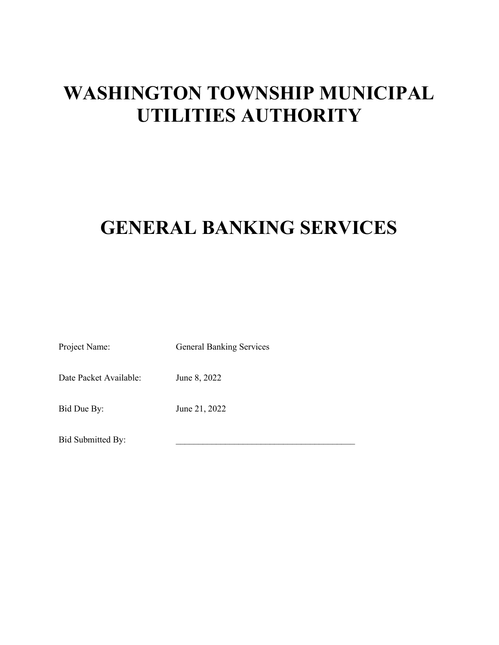# WASHINGTON TOWNSHIP MUNICIPAL UTILITIES AUTHORITY

# GENERAL BANKING SERVICES

Project Name: General Banking Services

Date Packet Available: June 8, 2022

Bid Due By: June 21, 2022

Bid Submitted By: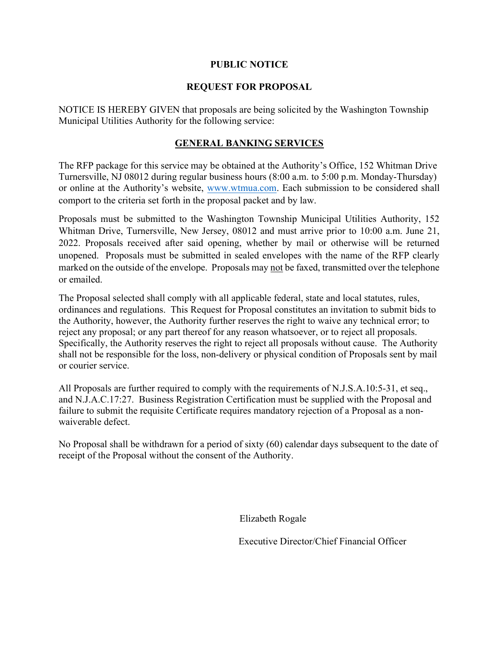#### PUBLIC NOTICE

#### REQUEST FOR PROPOSAL

NOTICE IS HEREBY GIVEN that proposals are being solicited by the Washington Township Municipal Utilities Authority for the following service:

#### GENERAL BANKING SERVICES

The RFP package for this service may be obtained at the Authority's Office, 152 Whitman Drive Turnersville, NJ 08012 during regular business hours (8:00 a.m. to 5:00 p.m. Monday-Thursday) or online at the Authority's website, www.wtmua.com. Each submission to be considered shall comport to the criteria set forth in the proposal packet and by law.

Proposals must be submitted to the Washington Township Municipal Utilities Authority, 152 Whitman Drive, Turnersville, New Jersey, 08012 and must arrive prior to 10:00 a.m. June 21, 2022. Proposals received after said opening, whether by mail or otherwise will be returned unopened. Proposals must be submitted in sealed envelopes with the name of the RFP clearly marked on the outside of the envelope. Proposals may not be faxed, transmitted over the telephone or emailed.

The Proposal selected shall comply with all applicable federal, state and local statutes, rules, ordinances and regulations. This Request for Proposal constitutes an invitation to submit bids to the Authority, however, the Authority further reserves the right to waive any technical error; to reject any proposal; or any part thereof for any reason whatsoever, or to reject all proposals. Specifically, the Authority reserves the right to reject all proposals without cause. The Authority shall not be responsible for the loss, non-delivery or physical condition of Proposals sent by mail or courier service.

All Proposals are further required to comply with the requirements of N.J.S.A.10:5-31, et seq., and N.J.A.C.17:27. Business Registration Certification must be supplied with the Proposal and failure to submit the requisite Certificate requires mandatory rejection of a Proposal as a nonwaiverable defect.

No Proposal shall be withdrawn for a period of sixty (60) calendar days subsequent to the date of receipt of the Proposal without the consent of the Authority.

Elizabeth Rogale

Executive Director/Chief Financial Officer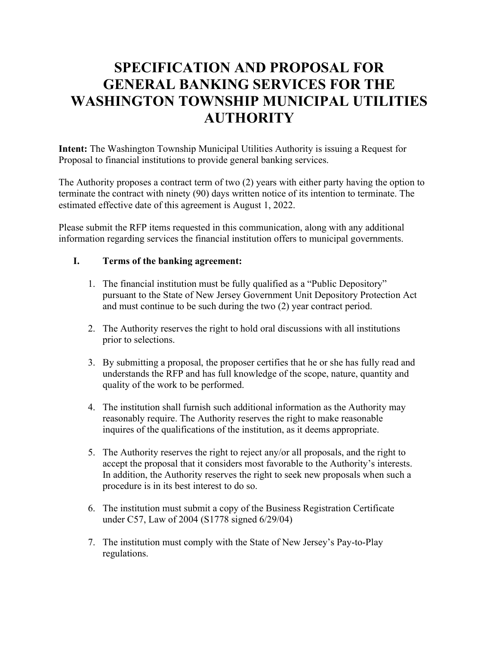### SPECIFICATION AND PROPOSAL FOR GENERAL BANKING SERVICES FOR THE WASHINGTON TOWNSHIP MUNICIPAL UTILITIES **AUTHORITY**

Intent: The Washington Township Municipal Utilities Authority is issuing a Request for Proposal to financial institutions to provide general banking services.

The Authority proposes a contract term of two (2) years with either party having the option to terminate the contract with ninety (90) days written notice of its intention to terminate. The estimated effective date of this agreement is August 1, 2022.

Please submit the RFP items requested in this communication, along with any additional information regarding services the financial institution offers to municipal governments.

#### I. Terms of the banking agreement:

- 1. The financial institution must be fully qualified as a "Public Depository" pursuant to the State of New Jersey Government Unit Depository Protection Act and must continue to be such during the two (2) year contract period.
- 2. The Authority reserves the right to hold oral discussions with all institutions prior to selections.
- 3. By submitting a proposal, the proposer certifies that he or she has fully read and understands the RFP and has full knowledge of the scope, nature, quantity and quality of the work to be performed.
- 4. The institution shall furnish such additional information as the Authority may reasonably require. The Authority reserves the right to make reasonable inquires of the qualifications of the institution, as it deems appropriate.
- 5. The Authority reserves the right to reject any/or all proposals, and the right to accept the proposal that it considers most favorable to the Authority's interests. In addition, the Authority reserves the right to seek new proposals when such a procedure is in its best interest to do so.
- 6. The institution must submit a copy of the Business Registration Certificate under C57, Law of 2004 (S1778 signed 6/29/04)
- 7. The institution must comply with the State of New Jersey's Pay-to-Play regulations.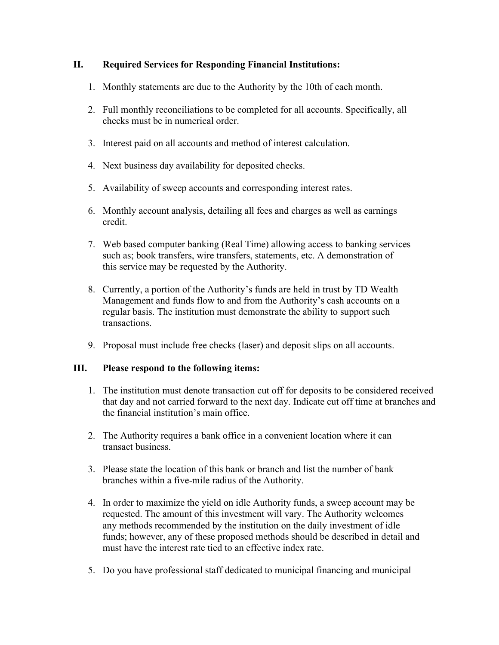#### II. Required Services for Responding Financial Institutions:

- 1. Monthly statements are due to the Authority by the 10th of each month.
- 2. Full monthly reconciliations to be completed for all accounts. Specifically, all checks must be in numerical order.
- 3. Interest paid on all accounts and method of interest calculation.
- 4. Next business day availability for deposited checks.
- 5. Availability of sweep accounts and corresponding interest rates.
- 6. Monthly account analysis, detailing all fees and charges as well as earnings credit.
- 7. Web based computer banking (Real Time) allowing access to banking services such as; book transfers, wire transfers, statements, etc. A demonstration of this service may be requested by the Authority.
- 8. Currently, a portion of the Authority's funds are held in trust by TD Wealth Management and funds flow to and from the Authority's cash accounts on a regular basis. The institution must demonstrate the ability to support such transactions.
- 9. Proposal must include free checks (laser) and deposit slips on all accounts.

#### III. Please respond to the following items:

- 1. The institution must denote transaction cut off for deposits to be considered received that day and not carried forward to the next day. Indicate cut off time at branches and the financial institution's main office.
- 2. The Authority requires a bank office in a convenient location where it can transact business.
- 3. Please state the location of this bank or branch and list the number of bank branches within a five-mile radius of the Authority.
- 4. In order to maximize the yield on idle Authority funds, a sweep account may be requested. The amount of this investment will vary. The Authority welcomes any methods recommended by the institution on the daily investment of idle funds; however, any of these proposed methods should be described in detail and must have the interest rate tied to an effective index rate.
- 5. Do you have professional staff dedicated to municipal financing and municipal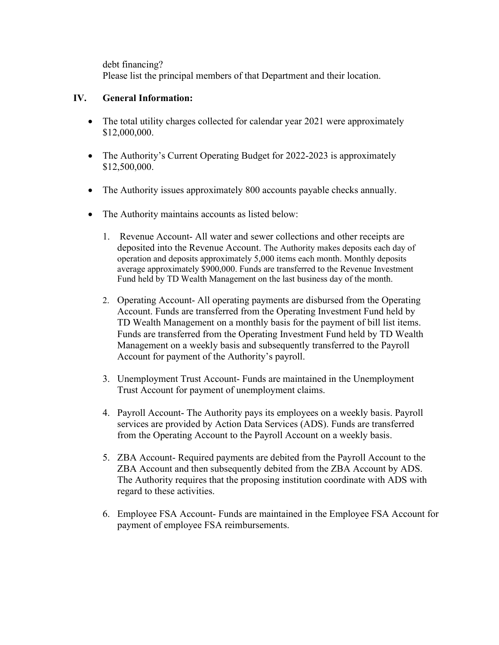debt financing? Please list the principal members of that Department and their location.

#### IV. General Information:

- The total utility charges collected for calendar year 2021 were approximately \$12,000,000.
- The Authority's Current Operating Budget for 2022-2023 is approximately \$12,500,000.
- The Authority issues approximately 800 accounts payable checks annually.
- The Authority maintains accounts as listed below:
	- 1. Revenue Account- All water and sewer collections and other receipts are deposited into the Revenue Account. The Authority makes deposits each day of operation and deposits approximately 5,000 items each month. Monthly deposits average approximately \$900,000. Funds are transferred to the Revenue Investment Fund held by TD Wealth Management on the last business day of the month.
	- 2. Operating Account- All operating payments are disbursed from the Operating Account. Funds are transferred from the Operating Investment Fund held by TD Wealth Management on a monthly basis for the payment of bill list items. Funds are transferred from the Operating Investment Fund held by TD Wealth Management on a weekly basis and subsequently transferred to the Payroll Account for payment of the Authority's payroll.
	- 3. Unemployment Trust Account- Funds are maintained in the Unemployment Trust Account for payment of unemployment claims.
	- 4. Payroll Account- The Authority pays its employees on a weekly basis. Payroll services are provided by Action Data Services (ADS). Funds are transferred from the Operating Account to the Payroll Account on a weekly basis.
	- 5. ZBA Account- Required payments are debited from the Payroll Account to the ZBA Account and then subsequently debited from the ZBA Account by ADS. The Authority requires that the proposing institution coordinate with ADS with regard to these activities.
	- 6. Employee FSA Account- Funds are maintained in the Employee FSA Account for payment of employee FSA reimbursements.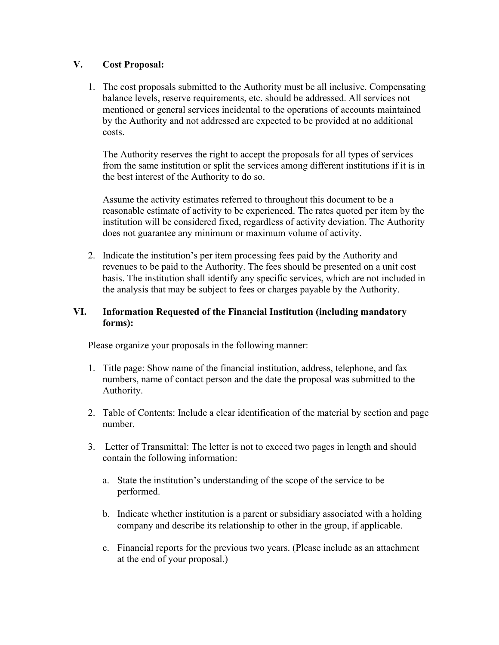#### V. Cost Proposal:

1. The cost proposals submitted to the Authority must be all inclusive. Compensating balance levels, reserve requirements, etc. should be addressed. All services not mentioned or general services incidental to the operations of accounts maintained by the Authority and not addressed are expected to be provided at no additional costs.

The Authority reserves the right to accept the proposals for all types of services from the same institution or split the services among different institutions if it is in the best interest of the Authority to do so.

Assume the activity estimates referred to throughout this document to be a reasonable estimate of activity to be experienced. The rates quoted per item by the institution will be considered fixed, regardless of activity deviation. The Authority does not guarantee any minimum or maximum volume of activity.

2. Indicate the institution's per item processing fees paid by the Authority and revenues to be paid to the Authority. The fees should be presented on a unit cost basis. The institution shall identify any specific services, which are not included in the analysis that may be subject to fees or charges payable by the Authority.

#### VI. Information Requested of the Financial Institution (including mandatory forms):

Please organize your proposals in the following manner:

- 1. Title page: Show name of the financial institution, address, telephone, and fax numbers, name of contact person and the date the proposal was submitted to the Authority.
- 2. Table of Contents: Include a clear identification of the material by section and page number.
- 3. Letter of Transmittal: The letter is not to exceed two pages in length and should contain the following information:
	- a. State the institution's understanding of the scope of the service to be performed.
	- b. Indicate whether institution is a parent or subsidiary associated with a holding company and describe its relationship to other in the group, if applicable.
	- c. Financial reports for the previous two years. (Please include as an attachment at the end of your proposal.)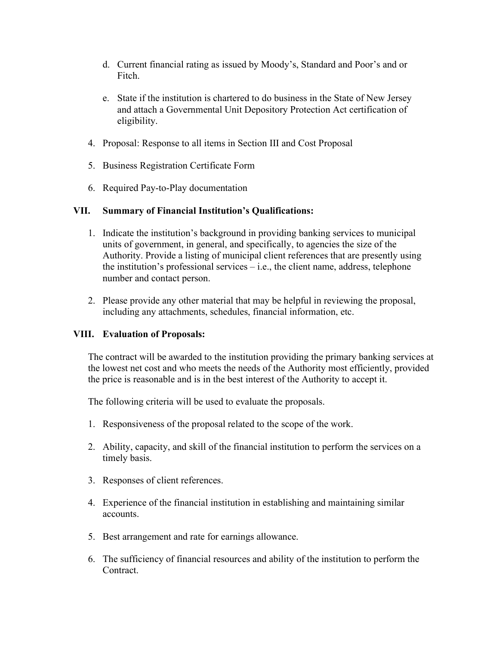- d. Current financial rating as issued by Moody's, Standard and Poor's and or Fitch.
- e. State if the institution is chartered to do business in the State of New Jersey and attach a Governmental Unit Depository Protection Act certification of eligibility.
- 4. Proposal: Response to all items in Section III and Cost Proposal
- 5. Business Registration Certificate Form
- 6. Required Pay-to-Play documentation

#### VII. Summary of Financial Institution's Qualifications:

- 1. Indicate the institution's background in providing banking services to municipal units of government, in general, and specifically, to agencies the size of the Authority. Provide a listing of municipal client references that are presently using the institution's professional services – i.e., the client name, address, telephone number and contact person.
- 2. Please provide any other material that may be helpful in reviewing the proposal, including any attachments, schedules, financial information, etc.

#### VIII. Evaluation of Proposals:

The contract will be awarded to the institution providing the primary banking services at the lowest net cost and who meets the needs of the Authority most efficiently, provided the price is reasonable and is in the best interest of the Authority to accept it.

The following criteria will be used to evaluate the proposals.

- 1. Responsiveness of the proposal related to the scope of the work.
- 2. Ability, capacity, and skill of the financial institution to perform the services on a timely basis.
- 3. Responses of client references.
- 4. Experience of the financial institution in establishing and maintaining similar accounts.
- 5. Best arrangement and rate for earnings allowance.
- 6. The sufficiency of financial resources and ability of the institution to perform the Contract.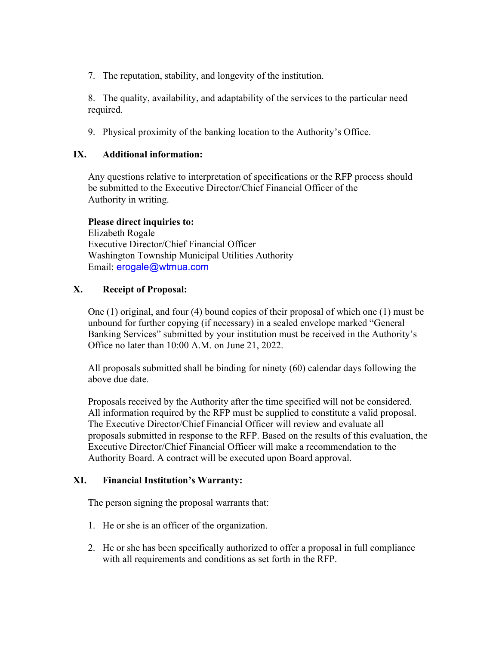7. The reputation, stability, and longevity of the institution.

8. The quality, availability, and adaptability of the services to the particular need required.

9. Physical proximity of the banking location to the Authority's Office.

#### IX. Additional information:

Any questions relative to interpretation of specifications or the RFP process should be submitted to the Executive Director/Chief Financial Officer of the Authority in writing.

Please direct inquiries to: Elizabeth Rogale Executive Director/Chief Financial Officer Washington Township Municipal Utilities Authority Email: erogale@wtmua.com

#### X. Receipt of Proposal:

One (1) original, and four (4) bound copies of their proposal of which one (1) must be unbound for further copying (if necessary) in a sealed envelope marked "General Banking Services" submitted by your institution must be received in the Authority's Office no later than 10:00 A.M. on June 21, 2022.

All proposals submitted shall be binding for ninety (60) calendar days following the above due date.

Proposals received by the Authority after the time specified will not be considered. All information required by the RFP must be supplied to constitute a valid proposal. The Executive Director/Chief Financial Officer will review and evaluate all proposals submitted in response to the RFP. Based on the results of this evaluation, the Executive Director/Chief Financial Officer will make a recommendation to the Authority Board. A contract will be executed upon Board approval.

#### XI. Financial Institution's Warranty:

The person signing the proposal warrants that:

- 1. He or she is an officer of the organization.
- 2. He or she has been specifically authorized to offer a proposal in full compliance with all requirements and conditions as set forth in the RFP.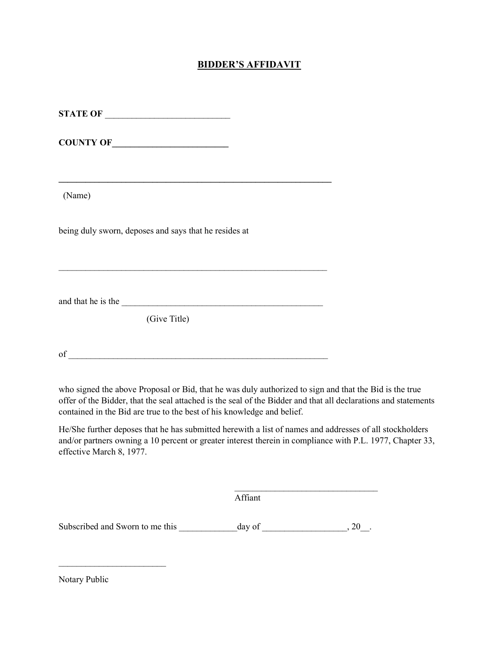#### BIDDER'S AFFIDAVIT

| <b>STATE OF ____________________________</b>          |  |
|-------------------------------------------------------|--|
|                                                       |  |
|                                                       |  |
| (Name)                                                |  |
| being duly sworn, deposes and says that he resides at |  |
|                                                       |  |
| (Give Title)                                          |  |
|                                                       |  |

who signed the above Proposal or Bid, that he was duly authorized to sign and that the Bid is the true offer of the Bidder, that the seal attached is the seal of the Bidder and that all declarations and statements contained in the Bid are true to the best of his knowledge and belief.

He/She further deposes that he has submitted herewith a list of names and addresses of all stockholders and/or partners owning a 10 percent or greater interest therein in compliance with P.L. 1977, Chapter 33, effective March 8, 1977.

Affiant

Subscribed and Sworn to me this \_\_\_\_\_\_\_\_\_\_\_\_\_day of \_\_\_\_\_\_\_\_\_\_\_\_\_\_\_\_\_\_\_, 20\_\_.

 $\mathcal{L}_\text{max}$  and the contract of the contract of the contract of the contract of the contract of the contract of the contract of the contract of the contract of the contract of the contract of the contract of the contrac

Notary Public

 $\mathcal{L}_\text{max}$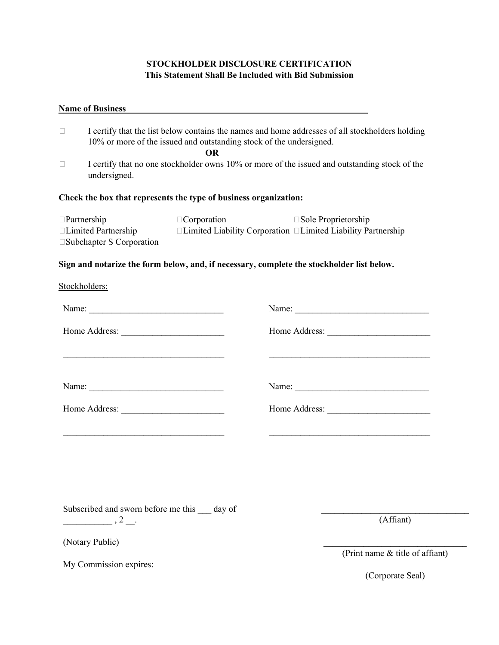#### STOCKHOLDER DISCLOSURE CERTIFICATION This Statement Shall Be Included with Bid Submission

#### Name of Business

| $\Box$                                                           | I certify that the list below contains the names and home addresses of all stockholders holding<br>10% or more of the issued and outstanding stock of the undersigned. |                    |                                                                           |  |  |
|------------------------------------------------------------------|------------------------------------------------------------------------------------------------------------------------------------------------------------------------|--------------------|---------------------------------------------------------------------------|--|--|
|                                                                  |                                                                                                                                                                        | OR.                |                                                                           |  |  |
| $\Box$                                                           | I certify that no one stockholder owns 10% or more of the issued and outstanding stock of the<br>undersigned.                                                          |                    |                                                                           |  |  |
| Check the box that represents the type of business organization: |                                                                                                                                                                        |                    |                                                                           |  |  |
| $\Box$ Partnership                                               |                                                                                                                                                                        | $\Box$ Corporation | $\square$ Sole Proprietorship                                             |  |  |
|                                                                  | □Limited Partnership<br>$\square$ Subchapter S Corporation                                                                                                             |                    | $\Box$ Limited Liability Corporation $\Box$ Limited Liability Partnership |  |  |

#### Sign and notarize the form below, and, if necessary, complete the stockholder list below.

| Stockholders: |
|---------------|
|               |

| Name:                                                                     | Name:         |
|---------------------------------------------------------------------------|---------------|
|                                                                           | Home Address: |
|                                                                           |               |
| Name:<br><u> 1980 - Andrea Stadt British, francuski politik (d. 1980)</u> | Name:         |
| Home Address:<br><u> 1980 - Amerikaan Staatsman (</u>                     | Home Address: |
|                                                                           |               |

Subscribed and sworn before me this \_\_\_ day of

 $\frac{1}{\sqrt{2}}$ , 2  $\frac{1}{\sqrt{2}}$ .

(Notary Public)

 $\mathcal{L}=\mathcal{L}=\mathcal{L}=\mathcal{L}=\mathcal{L}=\mathcal{L}=\mathcal{L}=\mathcal{L}=\mathcal{L}=\mathcal{L}=\mathcal{L}=\mathcal{L}=\mathcal{L}=\mathcal{L}=\mathcal{L}=\mathcal{L}=\mathcal{L}=\mathcal{L}=\mathcal{L}=\mathcal{L}=\mathcal{L}=\mathcal{L}=\mathcal{L}=\mathcal{L}=\mathcal{L}=\mathcal{L}=\mathcal{L}=\mathcal{L}=\mathcal{L}=\mathcal{L}=\mathcal{L}=\mathcal{L}=\mathcal{L}=\mathcal{L}=\mathcal{L}=\mathcal{L}=\mathcal{$ (Print name & title of affiant)

\_\_\_\_\_\_\_\_\_\_\_\_\_\_\_\_\_\_\_\_\_\_\_\_\_\_\_\_\_\_\_\_\_ (Affiant)

My Commission expires:

(Corporate Seal)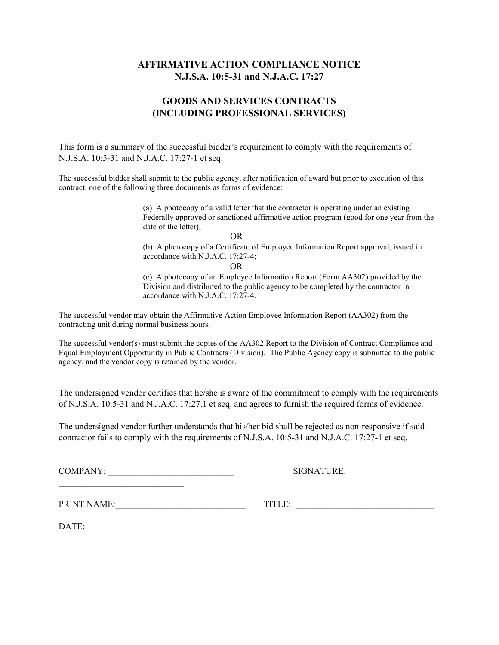#### AFFIRMATIVE ACTION COMPLIANCE NOTICE N.J.S.A. 10:5-31 and N.J.A.C. 17:27

#### GOODS AND SERVICES CONTRACTS (INCLUDING PROFESSIONAL SERVICES)

This form is a summary of the successful bidder's requirement to comply with the requirements of N.J.S.A. 10:5-31 and N.J.A.C. 17:27-1 et seq.

The successful bidder shall submit to the public agency, after notification of award but prior to execution of this contract, one of the following three documents as forms of evidence:

> (a) A photocopy of a valid letter that the contractor is operating under an existing Federally approved or sanctioned affirmative action program (good for one year from the date of the letter);

OR

(b) A photocopy of a Certificate of Employee Information Report approval, issued in accordance with N.J.A.C. 17:27-4;

OR

(c) A photocopy of an Employee Information Report (Form AA302) provided by the Division and distributed to the public agency to be completed by the contractor in accordance with N.J.A.C. 17:27-4.

The successful vendor may obtain the Affirmative Action Employee Information Report (AA302) from the contracting unit during normal business hours.

The successful vendor(s) must submit the copies of the AA302 Report to the Division of Contract Compliance and Equal Employment Opportunity in Public Contracts (Division). The Public Agency copy is submitted to the public agency, and the vendor copy is retained by the vendor.

The undersigned vendor certifies that he/she is aware of the commitment to comply with the requirements of N.J.S.A. 10:5-31 and N.J.A.C. 17:27.1 et seq. and agrees to furnish the required forms of evidence.

The undersigned vendor further understands that his/her bid shall be rejected as non-responsive if said contractor fails to comply with the requirements of N.J.S.A. 10:5-31 and N.J.A.C. 17:27-1 et seq.

COMPANY: SIGNATURE:

PRINT NAME:\_\_\_\_\_\_\_\_\_\_\_\_\_\_\_\_\_\_\_\_\_\_\_\_\_\_\_\_\_ TITLE: \_\_\_\_\_\_\_\_\_\_\_\_\_\_\_\_\_\_\_\_\_\_\_\_\_\_\_\_\_\_\_

DATE: \_\_\_\_\_\_\_\_\_\_\_\_\_\_\_\_\_\_

 $\mathcal{L}_\text{max}$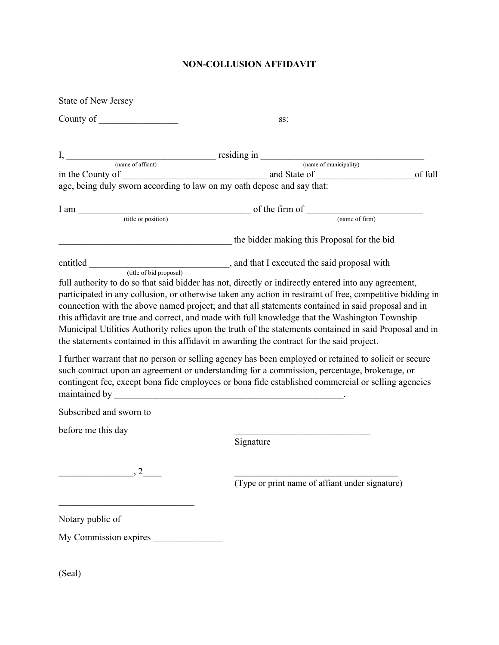#### NON-COLLUSION AFFIDAVIT

| <b>State of New Jersey</b>                                                                     |                                                                                                                                                                                                                                                                                                                                                                                                                                                                                                                                      |
|------------------------------------------------------------------------------------------------|--------------------------------------------------------------------------------------------------------------------------------------------------------------------------------------------------------------------------------------------------------------------------------------------------------------------------------------------------------------------------------------------------------------------------------------------------------------------------------------------------------------------------------------|
| County of $\sqrt{\frac{2}{1-\frac{1}{2}}$                                                      | SS:                                                                                                                                                                                                                                                                                                                                                                                                                                                                                                                                  |
| $I,$ (name of affiant) residing in $\frac{1}{I}$ residing $\frac{1}{I}$ (name of municipality) |                                                                                                                                                                                                                                                                                                                                                                                                                                                                                                                                      |
|                                                                                                | of full                                                                                                                                                                                                                                                                                                                                                                                                                                                                                                                              |
| age, being duly sworn according to law on my oath depose and say that:                         |                                                                                                                                                                                                                                                                                                                                                                                                                                                                                                                                      |
|                                                                                                |                                                                                                                                                                                                                                                                                                                                                                                                                                                                                                                                      |
| I am                                                                                           | $\frac{1}{\text{(title or position)}}$ of the firm of $\frac{1}{\text{(name of firm)}}$                                                                                                                                                                                                                                                                                                                                                                                                                                              |
|                                                                                                |                                                                                                                                                                                                                                                                                                                                                                                                                                                                                                                                      |
|                                                                                                | the bidder making this Proposal for the bid                                                                                                                                                                                                                                                                                                                                                                                                                                                                                          |
|                                                                                                |                                                                                                                                                                                                                                                                                                                                                                                                                                                                                                                                      |
| the statements contained in this affidavit in awarding the contract for the said project.      | full authority to do so that said bidder has not, directly or indirectly entered into any agreement,<br>participated in any collusion, or otherwise taken any action in restraint of free, competitive bidding in<br>connection with the above named project; and that all statements contained in said proposal and in<br>this affidavit are true and correct, and made with full knowledge that the Washington Township<br>Municipal Utilities Authority relies upon the truth of the statements contained in said Proposal and in |
|                                                                                                | I further warrant that no person or selling agency has been employed or retained to solicit or secure<br>such contract upon an agreement or understanding for a commission, percentage, brokerage, or<br>contingent fee, except bona fide employees or bona fide established commercial or selling agencies                                                                                                                                                                                                                          |
| Subscribed and sworn to                                                                        |                                                                                                                                                                                                                                                                                                                                                                                                                                                                                                                                      |
| before me this day                                                                             |                                                                                                                                                                                                                                                                                                                                                                                                                                                                                                                                      |
|                                                                                                | Signature                                                                                                                                                                                                                                                                                                                                                                                                                                                                                                                            |
|                                                                                                |                                                                                                                                                                                                                                                                                                                                                                                                                                                                                                                                      |
| $\frac{1}{2}$ , 2                                                                              | (Type or print name of affiant under signature)                                                                                                                                                                                                                                                                                                                                                                                                                                                                                      |
| Notary public of                                                                               |                                                                                                                                                                                                                                                                                                                                                                                                                                                                                                                                      |
|                                                                                                |                                                                                                                                                                                                                                                                                                                                                                                                                                                                                                                                      |
|                                                                                                |                                                                                                                                                                                                                                                                                                                                                                                                                                                                                                                                      |

(Seal)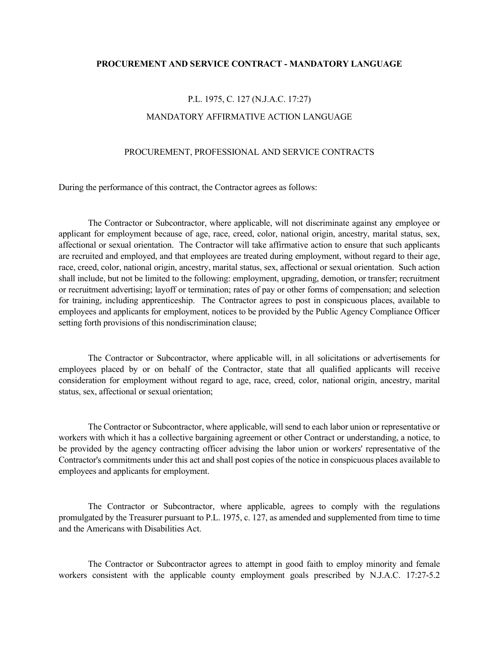#### PROCUREMENT AND SERVICE CONTRACT - MANDATORY LANGUAGE

### P.L. 1975, C. 127 (N.J.A.C. 17:27) MANDATORY AFFIRMATIVE ACTION LANGUAGE

#### PROCUREMENT, PROFESSIONAL AND SERVICE CONTRACTS

During the performance of this contract, the Contractor agrees as follows:

 The Contractor or Subcontractor, where applicable, will not discriminate against any employee or applicant for employment because of age, race, creed, color, national origin, ancestry, marital status, sex, affectional or sexual orientation. The Contractor will take affirmative action to ensure that such applicants are recruited and employed, and that employees are treated during employment, without regard to their age, race, creed, color, national origin, ancestry, marital status, sex, affectional or sexual orientation. Such action shall include, but not be limited to the following: employment, upgrading, demotion, or transfer; recruitment or recruitment advertising; layoff or termination; rates of pay or other forms of compensation; and selection for training, including apprenticeship. The Contractor agrees to post in conspicuous places, available to employees and applicants for employment, notices to be provided by the Public Agency Compliance Officer setting forth provisions of this nondiscrimination clause;

 The Contractor or Subcontractor, where applicable will, in all solicitations or advertisements for employees placed by or on behalf of the Contractor, state that all qualified applicants will receive consideration for employment without regard to age, race, creed, color, national origin, ancestry, marital status, sex, affectional or sexual orientation;

 The Contractor or Subcontractor, where applicable, will send to each labor union or representative or workers with which it has a collective bargaining agreement or other Contract or understanding, a notice, to be provided by the agency contracting officer advising the labor union or workers' representative of the Contractor's commitments under this act and shall post copies of the notice in conspicuous places available to employees and applicants for employment.

 The Contractor or Subcontractor, where applicable, agrees to comply with the regulations promulgated by the Treasurer pursuant to P.L. 1975, c. 127, as amended and supplemented from time to time and the Americans with Disabilities Act.

 The Contractor or Subcontractor agrees to attempt in good faith to employ minority and female workers consistent with the applicable county employment goals prescribed by N.J.A.C. 17:27-5.2